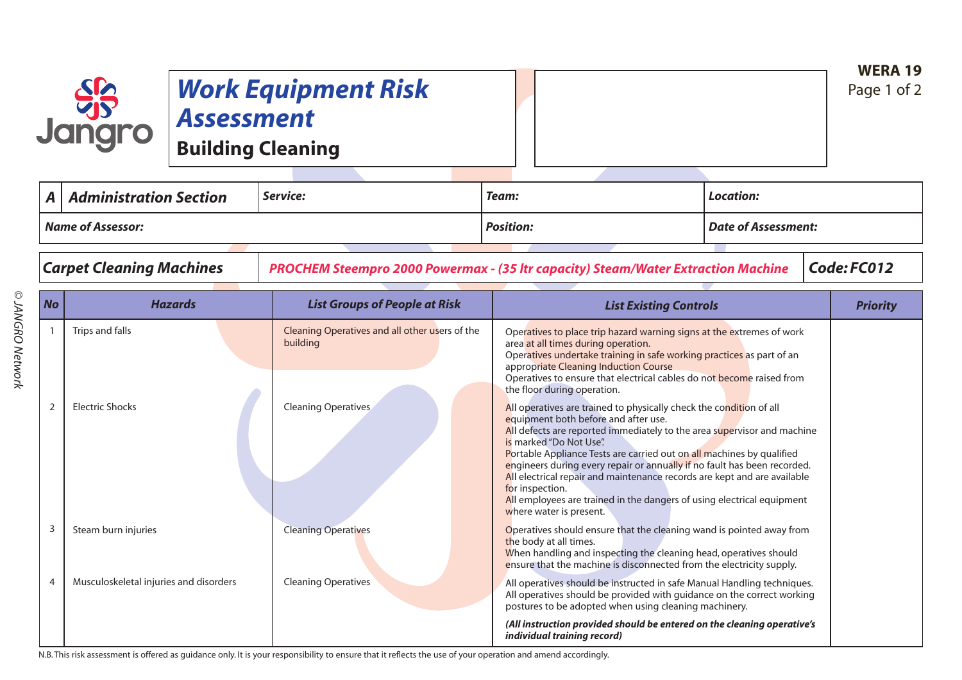## *Work Equipment Risk Assessment*

**Building Cleaning**

| $\blacksquare$           | <b>Administration Section</b> | Service: | Team:            | Location:           |  |
|--------------------------|-------------------------------|----------|------------------|---------------------|--|
| <b>Name of Assessor:</b> |                               |          | <b>Position:</b> | Date of Assessment: |  |
|                          |                               |          |                  |                     |  |

**SSS**<br>Jangro

*Carpet Cleaning Machines PROCHEM Steempro 2000 Powermax - (35 ltr capacity) Steam/Water Extraction Machine Code: FC012*

| <b>No</b>      | <b>Hazards</b>                                                                                                                                                                                                                    | <b>List Groups of People at Risk</b>                       | <b>List Existing Controls</b>                                                                                                                                                                                                                                                                                                                                                                                                                                                                                                                                                                                                                                                                                                                                                                                                                                                                                        | <b>Priority</b> |
|----------------|-----------------------------------------------------------------------------------------------------------------------------------------------------------------------------------------------------------------------------------|------------------------------------------------------------|----------------------------------------------------------------------------------------------------------------------------------------------------------------------------------------------------------------------------------------------------------------------------------------------------------------------------------------------------------------------------------------------------------------------------------------------------------------------------------------------------------------------------------------------------------------------------------------------------------------------------------------------------------------------------------------------------------------------------------------------------------------------------------------------------------------------------------------------------------------------------------------------------------------------|-----------------|
|                | Trips and falls                                                                                                                                                                                                                   | Cleaning Operatives and all other users of the<br>building | Operatives to place trip hazard warning signs at the extremes of work<br>area at all times during operation.<br>Operatives undertake training in safe working practices as part of an<br>appropriate Cleaning Induction Course<br>Operatives to ensure that electrical cables do not become raised from<br>the floor during operation.<br>All operatives are trained to physically check the condition of all<br>equipment both before and after use.<br>All defects are reported immediately to the area supervisor and machine<br>is marked "Do Not Use".<br>Portable Appliance Tests are carried out on all machines by qualified<br>engineers during every repair or annually if no fault has been recorded.<br>All electrical repair and maintenance records are kept and are available<br>for inspection.<br>All employees are trained in the dangers of using electrical equipment<br>where water is present. |                 |
| 2              | <b>Electric Shocks</b>                                                                                                                                                                                                            | Cleaning Operatives                                        |                                                                                                                                                                                                                                                                                                                                                                                                                                                                                                                                                                                                                                                                                                                                                                                                                                                                                                                      |                 |
| 3              | Steam burn injuries                                                                                                                                                                                                               | <b>Cleaning Operatives</b>                                 | Operatives should ensure that the cleaning wand is pointed away from<br>the body at all times.<br>When handling and inspecting the cleaning head, operatives should<br>ensure that the machine is disconnected from the electricity supply.                                                                                                                                                                                                                                                                                                                                                                                                                                                                                                                                                                                                                                                                          |                 |
| $\overline{4}$ | Musculoskeletal injuries and disorders                                                                                                                                                                                            | <b>Cleaning Operatives</b>                                 | All operatives should be instructed in safe Manual Handling techniques.<br>All operatives should be provided with guidance on the correct working<br>postures to be adopted when using cleaning machinery.                                                                                                                                                                                                                                                                                                                                                                                                                                                                                                                                                                                                                                                                                                           |                 |
|                | $\mathbf{B}$ . This is the component of $H$ and the constitution of the following constitution of the constitution of the constitution of the constitution of the constitution of the constitution of the constitution of the con |                                                            | (All instruction provided should be entered on the cleaning operative's<br>individual training record)<br>والملامي والمتلاق والمتواطن والمتواطن والمتواطن والمتواطن والمتحافظ والمتواطن                                                                                                                                                                                                                                                                                                                                                                                                                                                                                                                                                                                                                                                                                                                              |                 |

N.B.This risk assessment is offered as guidance only. It is your responsibility to ensure that it reflects the use of your operation and amend accordingly.

**WERA 19** Page 1 of 2